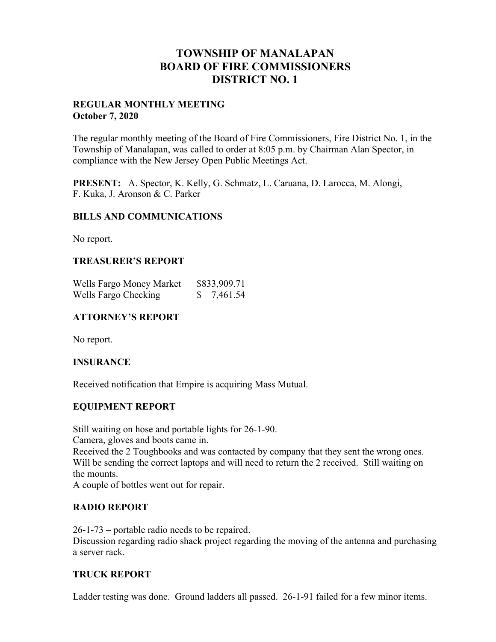# **TOWNSHIP OF MANALAPAN BOARD OF FIRE COMMISSIONERS DISTRICT NO. 1**

### **REGULAR MONTHLY MEETING October 7, 2020**

The regular monthly meeting of the Board of Fire Commissioners, Fire District No. 1, in the Township of Manalapan, was called to order at 8:05 p.m. by Chairman Alan Spector, in compliance with the New Jersey Open Public Meetings Act.

**PRESENT:** A. Spector, K. Kelly, G. Schmatz, L. Caruana, D. Larocca, M. Alongi, F. Kuka, J. Aronson & C. Parker

## **BILLS AND COMMUNICATIONS**

No report.

## **TREASURER'S REPORT**

| Wells Fargo Money Market | \$833,909.71 |
|--------------------------|--------------|
| Wells Fargo Checking     | 7,461.54     |

## **ATTORNEY'S REPORT**

No report.

### **INSURANCE**

Received notification that Empire is acquiring Mass Mutual.

### **EQUIPMENT REPORT**

Still waiting on hose and portable lights for 26-1-90. Camera, gloves and boots came in.

Received the 2 Toughbooks and was contacted by company that they sent the wrong ones. Will be sending the correct laptops and will need to return the 2 received. Still waiting on the mounts.

A couple of bottles went out for repair.

## **RADIO REPORT**

26-1-73 – portable radio needs to be repaired. Discussion regarding radio shack project regarding the moving of the antenna and purchasing a server rack.

### **TRUCK REPORT**

Ladder testing was done. Ground ladders all passed. 26-1-91 failed for a few minor items.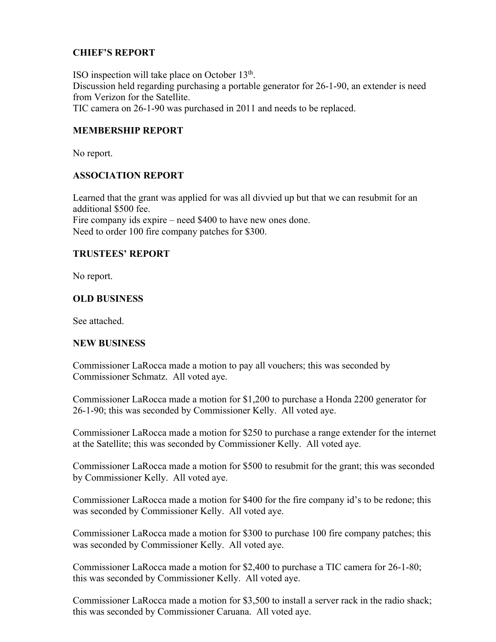## **CHIEF'S REPORT**

ISO inspection will take place on October  $13<sup>th</sup>$ . Discussion held regarding purchasing a portable generator for 26-1-90, an extender is need from Verizon for the Satellite. TIC camera on 26-1-90 was purchased in 2011 and needs to be replaced.

## **MEMBERSHIP REPORT**

No report.

### **ASSOCIATION REPORT**

Learned that the grant was applied for was all divvied up but that we can resubmit for an additional \$500 fee. Fire company ids expire – need \$400 to have new ones done. Need to order 100 fire company patches for \$300.

#### **TRUSTEES' REPORT**

No report.

#### **OLD BUSINESS**

See attached.

### **NEW BUSINESS**

Commissioner LaRocca made a motion to pay all vouchers; this was seconded by Commissioner Schmatz. All voted aye.

Commissioner LaRocca made a motion for \$1,200 to purchase a Honda 2200 generator for 26-1-90; this was seconded by Commissioner Kelly. All voted aye.

Commissioner LaRocca made a motion for \$250 to purchase a range extender for the internet at the Satellite; this was seconded by Commissioner Kelly. All voted aye.

Commissioner LaRocca made a motion for \$500 to resubmit for the grant; this was seconded by Commissioner Kelly. All voted aye.

Commissioner LaRocca made a motion for \$400 for the fire company id's to be redone; this was seconded by Commissioner Kelly. All voted aye.

Commissioner LaRocca made a motion for \$300 to purchase 100 fire company patches; this was seconded by Commissioner Kelly. All voted aye.

Commissioner LaRocca made a motion for \$2,400 to purchase a TIC camera for 26-1-80; this was seconded by Commissioner Kelly. All voted aye.

Commissioner LaRocca made a motion for \$3,500 to install a server rack in the radio shack; this was seconded by Commissioner Caruana. All voted aye.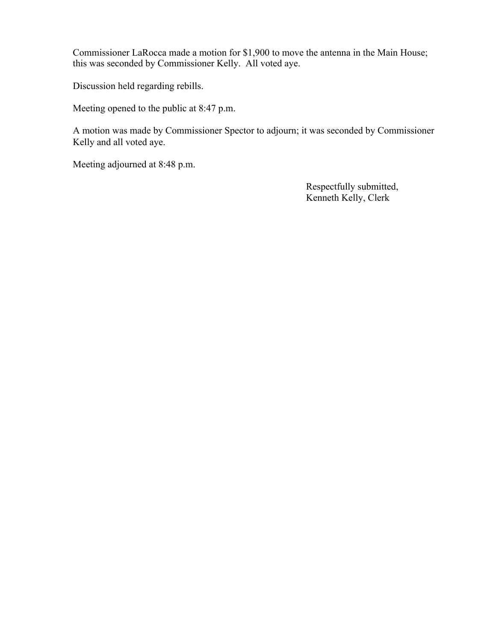Commissioner LaRocca made a motion for \$1,900 to move the antenna in the Main House; this was seconded by Commissioner Kelly. All voted aye.

Discussion held regarding rebills.

Meeting opened to the public at 8:47 p.m.

A motion was made by Commissioner Spector to adjourn; it was seconded by Commissioner Kelly and all voted aye.

Meeting adjourned at 8:48 p.m.

 Respectfully submitted, Kenneth Kelly, Clerk